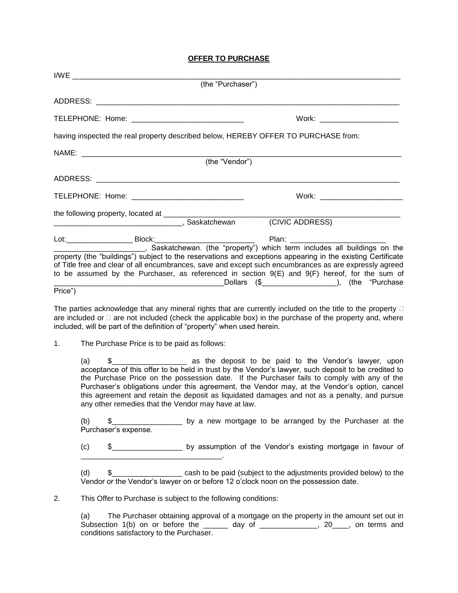# **OFFER TO PURCHASE**

|         | (the "Purchaser") |                                                                                                                                                                  |  |
|---------|-------------------|------------------------------------------------------------------------------------------------------------------------------------------------------------------|--|
|         |                   |                                                                                                                                                                  |  |
|         |                   | Work: ________________________                                                                                                                                   |  |
|         |                   | having inspected the real property described below, HEREBY OFFER TO PURCHASE from:                                                                               |  |
|         |                   |                                                                                                                                                                  |  |
|         | (the "Vendor")    |                                                                                                                                                                  |  |
|         |                   |                                                                                                                                                                  |  |
|         |                   | $Work: \begin{tabular}{ c c c c } \hline \quad \quad \quad & \quad \quad \quad & \quad \quad \quad \\ \hline \end{tabular}$                                      |  |
|         |                   |                                                                                                                                                                  |  |
|         |                   |                                                                                                                                                                  |  |
|         |                   |                                                                                                                                                                  |  |
|         |                   | Saskatchewan. (the "property") which term includes all buildings on the                                                                                          |  |
|         |                   | property (the "buildings") subject to the reservations and exceptions appearing in the existing Certificate                                                      |  |
|         |                   | of Title free and clear of all encumbrances, save and except such encumbrances as are expressly agreed                                                           |  |
|         |                   | to be assumed by the Purchaser, as referenced in section 9(E) and 9(F) hereof, for the sum of<br>Dollars (\$ Charles (3 Charles 19 million 1994), (the "Purchase |  |
| Price") |                   |                                                                                                                                                                  |  |

The parties acknowledge that any mineral rights that are currently included on the title to the property  $\Box$ are included or  $\Box$  are not included (check the applicable box) in the purchase of the property and, where included, will be part of the definition of "property" when used herein.

1. The Purchase Price is to be paid as follows:

(a)  $\frac{1}{2}$   $\frac{1}{2}$   $\frac{1}{2}$  as the deposit to be paid to the Vendor's lawyer, upon acceptance of this offer to be held in trust by the Vendor's lawyer, such deposit to be credited to the Purchase Price on the possession date. If the Purchaser fails to comply with any of the Purchaser's obligations under this agreement, the Vendor may, at the Vendor's option, cancel this agreement and retain the deposit as liquidated damages and not as a penalty, and pursue any other remedies that the Vendor may have at law.

(b) \$\_\_\_\_\_\_\_\_\_\_\_\_\_\_\_\_\_ by a new mortgage to be arranged by the Purchaser at the Purchaser's expense.

(c) \$\_\_\_\_\_\_\_\_\_\_\_\_\_\_\_\_\_ by assumption of the Vendor's existing mortgage in favour of \_\_\_\_\_\_\_\_\_\_\_\_\_\_\_\_\_\_\_\_\_\_\_\_\_\_\_\_\_\_\_\_\_\_.

(d) \$\_\_\_\_\_\_\_\_\_\_\_\_\_\_\_\_\_ cash to be paid (subject to the adjustments provided below) to the Vendor or the Vendor's lawyer on or before 12 o'clock noon on the possession date.

2. This Offer to Purchase is subject to the following conditions:

(a) The Purchaser obtaining approval of a mortgage on the property in the amount set out in Subsection 1(b) on or before the \_\_\_\_\_\_ day of \_\_\_\_\_\_\_\_\_\_\_\_\_, 20\_\_\_\_, on terms and conditions satisfactory to the Purchaser.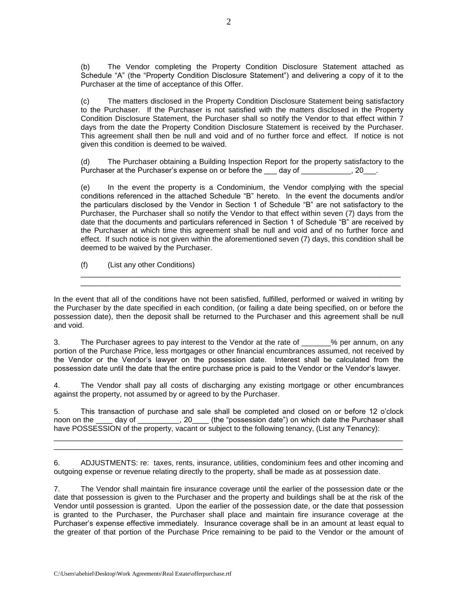(b) The Vendor completing the Property Condition Disclosure Statement attached as Schedule "A" (the "Property Condition Disclosure Statement") and delivering a copy of it to the Purchaser at the time of acceptance of this Offer.

(c) The matters disclosed in the Property Condition Disclosure Statement being satisfactory to the Purchaser. If the Purchaser is not satisfied with the matters disclosed in the Property Condition Disclosure Statement, the Purchaser shall so notify the Vendor to that effect within 7 days from the date the Property Condition Disclosure Statement is received by the Purchaser. This agreement shall then be null and void and of no further force and effect. If notice is not given this condition is deemed to be waived.

(d) The Purchaser obtaining a Building Inspection Report for the property satisfactory to the Purchaser at the Purchaser's expense on or before the day of \_\_\_\_\_\_\_\_\_\_\_, 20\_\_\_.

(e) In the event the property is a Condominium, the Vendor complying with the special conditions referenced in the attached Schedule "B" hereto. In the event the documents and/or the particulars disclosed by the Vendor in Section 1 of Schedule "B" are not satisfactory to the Purchaser, the Purchaser shall so notify the Vendor to that effect within seven (7) days from the date that the documents and particulars referenced in Section 1 of Schedule "B" are received by the Purchaser at which time this agreement shall be null and void and of no further force and effect. If such notice is not given within the aforementioned seven (7) days, this condition shall be deemed to be waived by the Purchaser.

\_\_\_\_\_\_\_\_\_\_\_\_\_\_\_\_\_\_\_\_\_\_\_\_\_\_\_\_\_\_\_\_\_\_\_\_\_\_\_\_\_\_\_\_\_\_\_\_\_\_\_\_\_\_\_\_\_\_\_\_\_\_\_\_\_\_\_\_\_\_\_\_\_\_\_\_\_ \_\_\_\_\_\_\_\_\_\_\_\_\_\_\_\_\_\_\_\_\_\_\_\_\_\_\_\_\_\_\_\_\_\_\_\_\_\_\_\_\_\_\_\_\_\_\_\_\_\_\_\_\_\_\_\_\_\_\_\_\_\_\_\_\_\_\_\_\_\_\_\_\_\_\_\_\_

(f) (List any other Conditions)

In the event that all of the conditions have not been satisfied, fulfilled, performed or waived in writing by the Purchaser by the date specified in each condition, (or failing a date being specified, on or before the possession date), then the deposit shall be returned to the Purchaser and this agreement shall be null and void.

3. The Purchaser agrees to pay interest to the Vendor at the rate of \_\_\_\_\_\_\_% per annum, on any portion of the Purchase Price, less mortgages or other financial encumbrances assumed, not received by the Vendor or the Vendor's lawyer on the possession date. Interest shall be calculated from the possession date until the date that the entire purchase price is paid to the Vendor or the Vendor's lawyer.

4. The Vendor shall pay all costs of discharging any existing mortgage or other encumbrances against the property, not assumed by or agreed to by the Purchaser.

5. This transaction of purchase and sale shall be completed and closed on or before 12 o'clock noon on the \_\_\_\_ day of \_\_\_\_\_\_\_\_\_, 20 (the "possession date") on which date the Purchaser shall have POSSESSION of the property, vacant or subject to the following tenancy, (List any Tenancy): \_\_\_\_\_\_\_\_\_\_\_\_\_\_\_\_\_\_\_\_\_\_\_\_\_\_\_\_\_\_\_\_\_\_\_\_\_\_\_\_\_\_\_\_\_\_\_\_\_\_\_\_\_\_\_\_\_\_\_\_\_\_\_\_\_\_\_\_\_\_\_\_\_\_\_\_\_\_\_\_\_\_\_\_

6. ADJUSTMENTS: re: taxes, rents, insurance, utilities, condominium fees and other incoming and outgoing expense or revenue relating directly to the property, shall be made as at possession date.

\_\_\_\_\_\_\_\_\_\_\_\_\_\_\_\_\_\_\_\_\_\_\_\_\_\_\_\_\_\_\_\_\_\_\_\_\_\_\_\_\_\_\_\_\_\_\_\_\_\_\_\_\_\_\_\_\_\_\_\_\_\_\_\_\_\_\_\_\_\_\_\_\_\_\_\_\_\_\_\_\_\_\_\_

7. The Vendor shall maintain fire insurance coverage until the earlier of the possession date or the date that possession is given to the Purchaser and the property and buildings shall be at the risk of the Vendor until possession is granted. Upon the earlier of the possession date, or the date that possession is granted to the Purchaser, the Purchaser shall place and maintain fire insurance coverage at the Purchaser's expense effective immediately. Insurance coverage shall be in an amount at least equal to the greater of that portion of the Purchase Price remaining to be paid to the Vendor or the amount of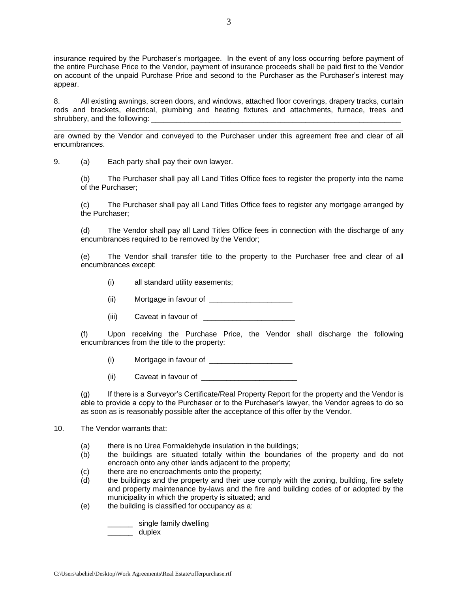insurance required by the Purchaser's mortgagee. In the event of any loss occurring before payment of the entire Purchase Price to the Vendor, payment of insurance proceeds shall be paid first to the Vendor on account of the unpaid Purchase Price and second to the Purchaser as the Purchaser's interest may appear.

8. All existing awnings, screen doors, and windows, attached floor coverings, drapery tracks, curtain rods and brackets, electrical, plumbing and heating fixtures and attachments, furnace, trees and shrubbery, and the following:

\_\_\_\_\_\_\_\_\_\_\_\_\_\_\_\_\_\_\_\_\_\_\_\_\_\_\_\_\_\_\_\_\_\_\_\_\_\_\_\_\_\_\_\_\_\_\_\_\_\_\_\_\_\_\_\_\_\_\_\_\_\_\_\_\_\_\_\_\_\_\_\_\_\_\_\_\_\_\_\_\_\_\_\_ are owned by the Vendor and conveyed to the Purchaser under this agreement free and clear of all encumbrances.

9. (a) Each party shall pay their own lawyer.

(b) The Purchaser shall pay all Land Titles Office fees to register the property into the name of the Purchaser;

(c) The Purchaser shall pay all Land Titles Office fees to register any mortgage arranged by the Purchaser;

(d) The Vendor shall pay all Land Titles Office fees in connection with the discharge of any encumbrances required to be removed by the Vendor;

(e) The Vendor shall transfer title to the property to the Purchaser free and clear of all encumbrances except:

- (i) all standard utility easements;
- (ii) Mortgage in favour of \_\_\_\_\_\_\_\_\_\_\_\_\_\_\_\_\_\_\_\_
- (iii) Caveat in favour of \_\_\_\_\_\_\_\_\_\_\_\_\_

(f) Upon receiving the Purchase Price, the Vendor shall discharge the following encumbrances from the title to the property:

 $(i)$  Mortgage in favour of

(ii) Caveat in favour of

(g) If there is a Surveyor's Certificate/Real Property Report for the property and the Vendor is able to provide a copy to the Purchaser or to the Purchaser's lawyer, the Vendor agrees to do so as soon as is reasonably possible after the acceptance of this offer by the Vendor.

### 10. The Vendor warrants that:

- (a) there is no Urea Formaldehyde insulation in the buildings;
- (b) the buildings are situated totally within the boundaries of the property and do not encroach onto any other lands adjacent to the property;
- (c) there are no encroachments onto the property;
- (d) the buildings and the property and their use comply with the zoning, building, fire safety and property maintenance by-laws and the fire and building codes of or adopted by the municipality in which the property is situated; and
- (e) the building is classified for occupancy as a:

\_\_\_\_\_\_ single family dwelling

\_\_\_\_\_\_ duplex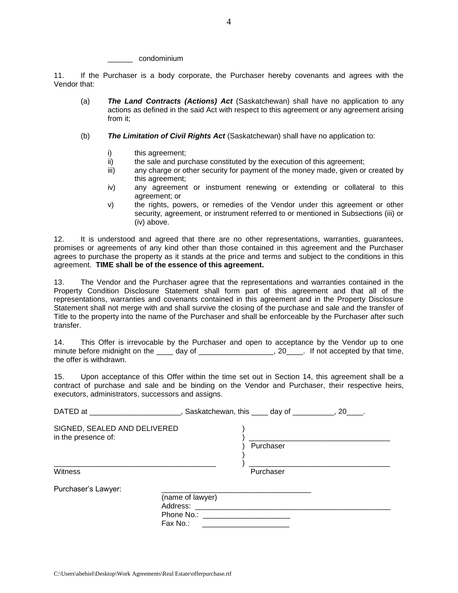condominium

11. If the Purchaser is a body corporate, the Purchaser hereby covenants and agrees with the Vendor that:

- (a) *The Land Contracts (Actions) Act* (Saskatchewan) shall have no application to any actions as defined in the said Act with respect to this agreement or any agreement arising from it;
- (b) *The Limitation of Civil Rights Act* (Saskatchewan) shall have no application to:
	- i) this agreement;
	- ii) the sale and purchase constituted by the execution of this agreement;<br>iii) anv charge or other security for payment of the money made, given or
	- any charge or other security for payment of the money made, given or created by this agreement;
	- iv) any agreement or instrument renewing or extending or collateral to this agreement; or
	- v) the rights, powers, or remedies of the Vendor under this agreement or other security, agreement, or instrument referred to or mentioned in Subsections (iii) or (iv) above.

12. It is understood and agreed that there are no other representations, warranties, guarantees, promises or agreements of any kind other than those contained in this agreement and the Purchaser agrees to purchase the property as it stands at the price and terms and subject to the conditions in this agreement. **TIME shall be of the essence of this agreement.**

13. The Vendor and the Purchaser agree that the representations and warranties contained in the Property Condition Disclosure Statement shall form part of this agreement and that all of the representations, warranties and covenants contained in this agreement and in the Property Disclosure Statement shall not merge with and shall survive the closing of the purchase and sale and the transfer of Title to the property into the name of the Purchaser and shall be enforceable by the Purchaser after such transfer.

14. This Offer is irrevocable by the Purchaser and open to acceptance by the Vendor up to one minute before midnight on the day of the case of the case of the case of the case of the case of the case of the case of the case of the case of the case of the case of the case of the case of the case of the case of the c the offer is withdrawn.

15. Upon acceptance of this Offer within the time set out in Section 14, this agreement shall be a contract of purchase and sale and be binding on the Vendor and Purchaser, their respective heirs, executors, administrators, successors and assigns.

| DATED at ________________________, Saskatchewan, this _____ day of __________, 20____. |                                                                     |           |  |
|----------------------------------------------------------------------------------------|---------------------------------------------------------------------|-----------|--|
| SIGNED, SEALED AND DELIVERED<br>in the presence of:                                    |                                                                     | Purchaser |  |
| Witness                                                                                |                                                                     | Purchaser |  |
| Purchaser's Lawyer:                                                                    |                                                                     |           |  |
|                                                                                        | (name of lawyer)<br>Phone No.: ________________________<br>Fax No.: |           |  |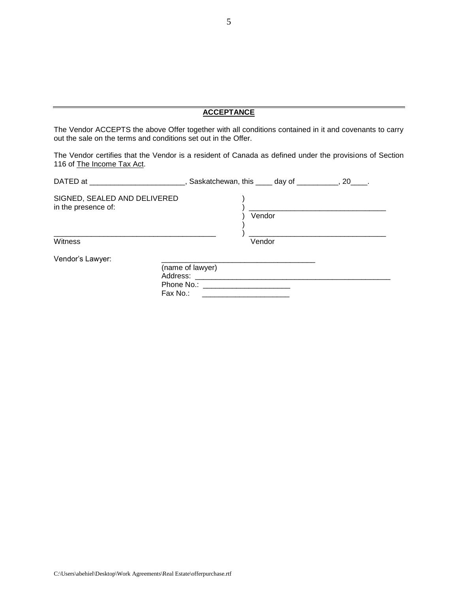# **ACCEPTANCE**

The Vendor ACCEPTS the above Offer together with all conditions contained in it and covenants to carry out the sale on the terms and conditions set out in the Offer.

The Vendor certifies that the Vendor is a resident of Canada as defined under the provisions of Section 116 of The Income Tax Act.

| DATED at the contract of the contract of the contract of the contract of the contract of the contract of the contract of the contract of the contract of the contract of the contract of the contract of the contract of the c |                                                                                                                                                                                                                                | $\Box$ , Saskatchewan, this $\Box$ day of $\Box$ , 20, |  |
|--------------------------------------------------------------------------------------------------------------------------------------------------------------------------------------------------------------------------------|--------------------------------------------------------------------------------------------------------------------------------------------------------------------------------------------------------------------------------|--------------------------------------------------------|--|
| SIGNED, SEALED AND DELIVERED<br>in the presence of:                                                                                                                                                                            |                                                                                                                                                                                                                                | Vendor                                                 |  |
| Witness                                                                                                                                                                                                                        |                                                                                                                                                                                                                                | Vendor                                                 |  |
| Vendor's Lawyer:                                                                                                                                                                                                               |                                                                                                                                                                                                                                |                                                        |  |
|                                                                                                                                                                                                                                | (name of lawyer)<br>Address:                                                                                                                                                                                                   |                                                        |  |
|                                                                                                                                                                                                                                | Phone No.: The contract of the contract of the contract of the contract of the contract of the contract of the contract of the contract of the contract of the contract of the contract of the contract of the contract of the |                                                        |  |
|                                                                                                                                                                                                                                | Fax No.:                                                                                                                                                                                                                       |                                                        |  |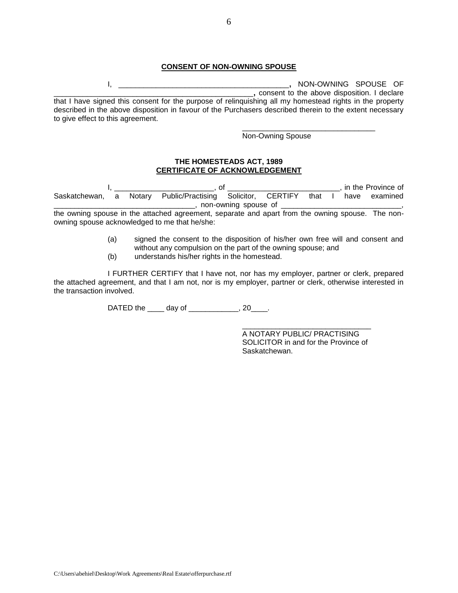#### **CONSENT OF NON-OWNING SPOUSE**

I, \_\_\_\_\_\_\_\_\_\_\_\_\_\_\_\_\_\_\_\_\_\_\_\_\_\_\_\_\_\_\_\_\_\_\_\_\_\_\_\_\_**,** NON-OWNING SPOUSE OF \_\_\_\_\_\_\_\_\_\_\_\_\_\_\_\_\_\_\_\_\_\_\_\_\_\_\_\_\_\_\_\_\_\_\_\_\_\_\_\_\_\_\_\_\_\_\_\_**,** consent to the above disposition. I declare that I have signed this consent for the purpose of relinquishing all my homestead rights in the property described in the above disposition in favour of the Purchasers described therein to the extent necessary to give effect to this agreement.

Non-Owning Spouse

\_\_\_\_\_\_\_\_\_\_\_\_\_\_\_\_\_\_\_\_\_\_\_\_\_\_\_\_\_\_\_\_

#### **THE HOMESTEADS ACT, 1989 CERTIFICATE OF ACKNOWLEDGEMENT**

I, \_\_\_\_\_\_\_\_\_\_\_\_\_\_\_\_\_\_\_\_\_\_\_\_, of \_\_\_\_\_\_\_\_\_\_\_\_\_\_\_\_\_\_\_\_\_\_\_\_\_\_\_, in the Province of Saskatchewan, a Notary Public/Practising Solicitor, CERTIFY that I have examined \_\_\_\_\_\_\_\_\_\_\_\_\_\_, non-owning spouse of \_\_\_\_\_

the owning spouse in the attached agreement, separate and apart from the owning spouse. The nonowning spouse acknowledged to me that he/she:

- (a) signed the consent to the disposition of his/her own free will and consent and without any compulsion on the part of the owning spouse; and
- (b) understands his/her rights in the homestead.

I FURTHER CERTIFY that I have not, nor has my employer, partner or clerk, prepared the attached agreement, and that I am not, nor is my employer, partner or clerk, otherwise interested in the transaction involved.

DATED the \_\_\_\_\_ day of \_\_\_\_\_\_\_\_\_\_\_\_, 20\_\_\_\_.

A NOTARY PUBLIC/ PRACTISING SOLICITOR in and for the Province of Saskatchewan.

\_\_\_\_\_\_\_\_\_\_\_\_\_\_\_\_\_\_\_\_\_\_\_\_\_\_\_\_\_\_\_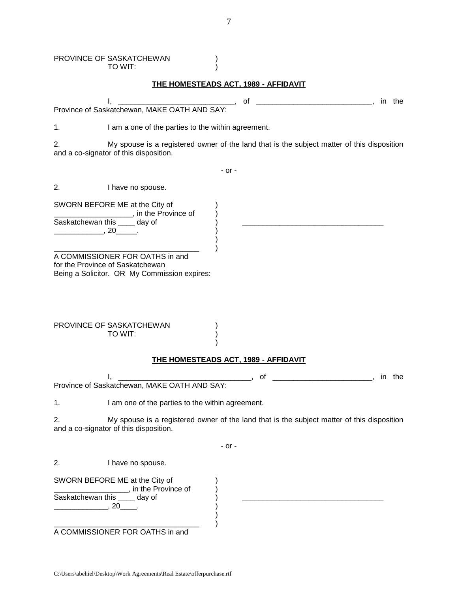|                  | PROVINCE OF SASKATCHEWAN<br>TO WIT:                                                                                                                 |              |  |
|------------------|-----------------------------------------------------------------------------------------------------------------------------------------------------|--------------|--|
|                  | <b>THE HOMESTEADS ACT, 1989 - AFFIDAVIT</b>                                                                                                         |              |  |
|                  | οf                                                                                                                                                  | in the       |  |
|                  | Province of Saskatchewan, MAKE OATH AND SAY:                                                                                                        |              |  |
| 1.               | I am a one of the parties to the within agreement.                                                                                                  |              |  |
| 2.               | My spouse is a registered owner of the land that is the subject matter of this disposition<br>and a co-signator of this disposition.                |              |  |
|                  | - or -                                                                                                                                              |              |  |
| 2.               | I have no spouse.                                                                                                                                   |              |  |
| $, 20$ $, 20$    | SWORN BEFORE ME at the City of<br>________________________________, in the Province of<br>Saskatchewan this ____ day of                             |              |  |
|                  | Being a Solicitor. OR My Commission expires:<br>PROVINCE OF SASKATCHEWAN<br>TO WIT:                                                                 |              |  |
|                  | THE HOMESTEADS ACT, 1989 - AFFIDAVIT                                                                                                                |              |  |
|                  | Ι,<br>Province of Saskatchewan, MAKE OATH AND SAY:                                                                                                  | of<br>in the |  |
| 1.               | I am one of the parties to the within agreement.                                                                                                    |              |  |
| 2.               | My spouse is a registered owner of the land that is the subject matter of this disposition<br>and a co-signator of this disposition.                |              |  |
|                  | - or -                                                                                                                                              |              |  |
| 2.               | I have no spouse.                                                                                                                                   |              |  |
| $\sim$ 20 $\sim$ | SWORN BEFORE ME at the City of<br>_________________________, in the Province of<br>Saskatchewan this ____ day of<br>A COMMISSIONER FOR OATHS in and |              |  |
|                  |                                                                                                                                                     |              |  |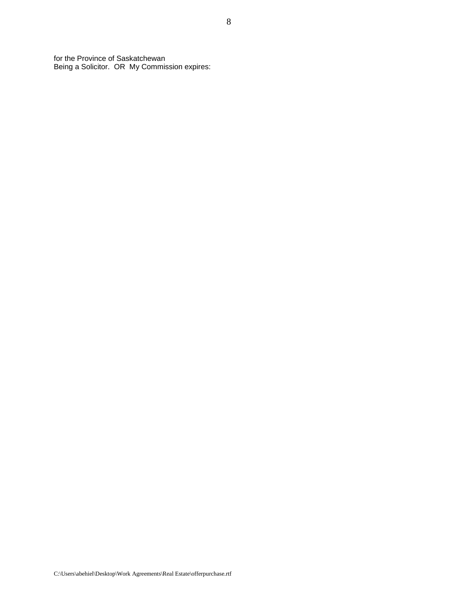for the Province of Saskatchewan Being a Solicitor. OR My Commission expires: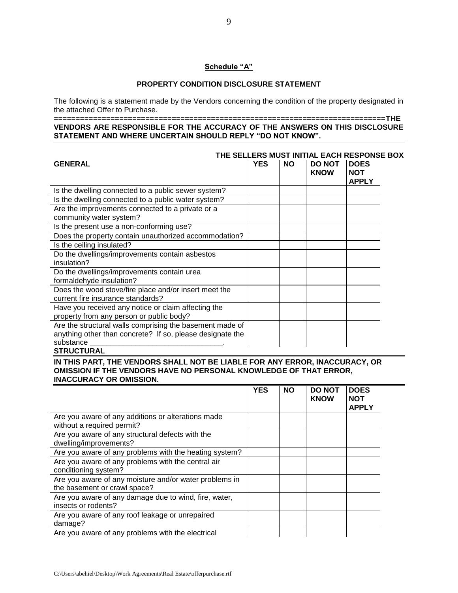## **Schedule "A"**

# **PROPERTY CONDITION DISCLOSURE STATEMENT**

The following is a statement made by the Vendors concerning the condition of the property designated in the attached Offer to Purchase.

#### ============================================================================**THE VENDORS ARE RESPONSIBLE FOR THE ACCURACY OF THE ANSWERS ON THIS DISCLOSURE STATEMENT AND WHERE UNCERTAIN SHOULD REPLY "DO NOT KNOW".**

| THE SELLERS MUST INITIAL EACH RESPONSE BOX                |            |           |                              |                                           |
|-----------------------------------------------------------|------------|-----------|------------------------------|-------------------------------------------|
| <b>GENERAL</b>                                            | <b>YES</b> | <b>NO</b> | <b>DO NOT</b><br><b>KNOW</b> | <b>DOES</b><br><b>NOT</b><br><b>APPLY</b> |
| Is the dwelling connected to a public sewer system?       |            |           |                              |                                           |
|                                                           |            |           |                              |                                           |
| Is the dwelling connected to a public water system?       |            |           |                              |                                           |
| Are the improvements connected to a private or a          |            |           |                              |                                           |
| community water system?                                   |            |           |                              |                                           |
| Is the present use a non-conforming use?                  |            |           |                              |                                           |
| Does the property contain unauthorized accommodation?     |            |           |                              |                                           |
| Is the ceiling insulated?                                 |            |           |                              |                                           |
| Do the dwellings/improvements contain asbestos            |            |           |                              |                                           |
| insulation?                                               |            |           |                              |                                           |
| Do the dwellings/improvements contain urea                |            |           |                              |                                           |
| formaldehyde insulation?                                  |            |           |                              |                                           |
| Does the wood stove/fire place and/or insert meet the     |            |           |                              |                                           |
| current fire insurance standards?                         |            |           |                              |                                           |
| Have you received any notice or claim affecting the       |            |           |                              |                                           |
| property from any person or public body?                  |            |           |                              |                                           |
| Are the structural walls comprising the basement made of  |            |           |                              |                                           |
| anything other than concrete? If so, please designate the |            |           |                              |                                           |
| substance                                                 |            |           |                              |                                           |
|                                                           |            |           |                              |                                           |

#### **STRUCTURAL**

**IN THIS PART, THE VENDORS SHALL NOT BE LIABLE FOR ANY ERROR, INACCURACY, OR OMISSION IF THE VENDORS HAVE NO PERSONAL KNOWLEDGE OF THAT ERROR, INACCURACY OR OMISSION.**

|                                                                                        | <b>YES</b> | <b>NO</b> | <b>DO NOT</b><br><b>KNOW</b> | <b>DOES</b><br><b>NOT</b><br><b>APPLY</b> |
|----------------------------------------------------------------------------------------|------------|-----------|------------------------------|-------------------------------------------|
| Are you aware of any additions or alterations made<br>without a required permit?       |            |           |                              |                                           |
| Are you aware of any structural defects with the<br>dwelling/improvements?             |            |           |                              |                                           |
| Are you aware of any problems with the heating system?                                 |            |           |                              |                                           |
| Are you aware of any problems with the central air<br>conditioning system?             |            |           |                              |                                           |
| Are you aware of any moisture and/or water problems in<br>the basement or crawl space? |            |           |                              |                                           |
| Are you aware of any damage due to wind, fire, water,<br>insects or rodents?           |            |           |                              |                                           |
| Are you aware of any roof leakage or unrepaired<br>damage?                             |            |           |                              |                                           |
| Are you aware of any problems with the electrical                                      |            |           |                              |                                           |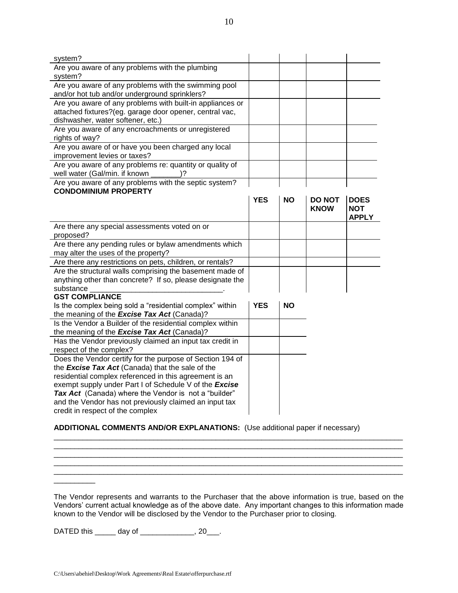### **ADDITIONAL COMMENTS AND/OR EXPLANATIONS:** (Use additional paper if necessary)

The Vendor represents and warrants to the Purchaser that the above information is true, based on the Vendors' current actual knowledge as of the above date. Any important changes to this information made known to the Vendor will be disclosed by the Vendor to the Purchaser prior to closing.

\_\_\_\_\_\_\_\_\_\_\_\_\_\_\_\_\_\_\_\_\_\_\_\_\_\_\_\_\_\_\_\_\_\_\_\_\_\_\_\_\_\_\_\_\_\_\_\_\_\_\_\_\_\_\_\_\_\_\_\_\_\_\_\_\_\_\_\_\_\_\_\_\_\_\_\_\_\_\_\_\_\_\_\_ \_\_\_\_\_\_\_\_\_\_\_\_\_\_\_\_\_\_\_\_\_\_\_\_\_\_\_\_\_\_\_\_\_\_\_\_\_\_\_\_\_\_\_\_\_\_\_\_\_\_\_\_\_\_\_\_\_\_\_\_\_\_\_\_\_\_\_\_\_\_\_\_\_\_\_\_\_\_\_\_\_\_\_\_ \_\_\_\_\_\_\_\_\_\_\_\_\_\_\_\_\_\_\_\_\_\_\_\_\_\_\_\_\_\_\_\_\_\_\_\_\_\_\_\_\_\_\_\_\_\_\_\_\_\_\_\_\_\_\_\_\_\_\_\_\_\_\_\_\_\_\_\_\_\_\_\_\_\_\_\_\_\_\_\_\_\_\_\_ \_\_\_\_\_\_\_\_\_\_\_\_\_\_\_\_\_\_\_\_\_\_\_\_\_\_\_\_\_\_\_\_\_\_\_\_\_\_\_\_\_\_\_\_\_\_\_\_\_\_\_\_\_\_\_\_\_\_\_\_\_\_\_\_\_\_\_\_\_\_\_\_\_\_\_\_\_\_\_\_\_\_\_\_ \_\_\_\_\_\_\_\_\_\_\_\_\_\_\_\_\_\_\_\_\_\_\_\_\_\_\_\_\_\_\_\_\_\_\_\_\_\_\_\_\_\_\_\_\_\_\_\_\_\_\_\_\_\_\_\_\_\_\_\_\_\_\_\_\_\_\_\_\_\_\_\_\_\_\_\_\_\_\_\_\_\_\_\_

DATED this \_\_\_\_\_\_ day of \_\_\_\_\_\_\_\_\_\_\_\_\_, 20\_\_\_.

\_\_\_\_\_\_\_\_\_\_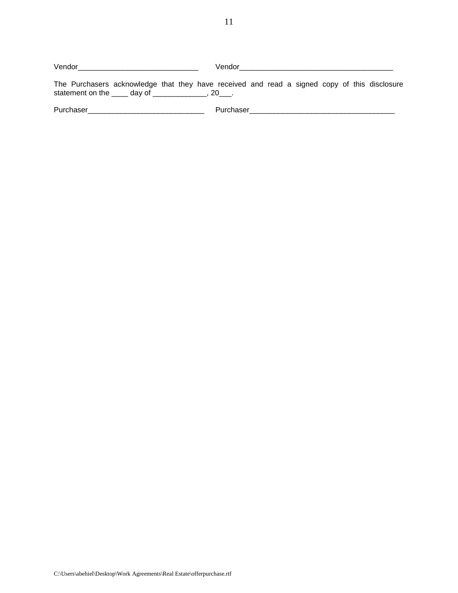Vendor\_\_\_\_\_\_\_\_\_\_\_\_\_\_\_\_\_\_\_\_\_\_\_\_\_\_\_\_\_ Vendor\_\_\_\_\_\_\_\_\_\_\_\_\_\_\_\_\_\_\_\_\_\_\_\_\_\_\_\_\_\_\_\_\_\_\_\_\_

The Purchasers acknowledge that they have received and read a signed copy of this disclosure statement on the  $\_\_\_$  day of  $\_\_\_\_\_\_\_\$ , 20 $\_\_\_\_\$ .

Purchaser\_\_\_\_\_\_\_\_\_\_\_\_\_\_\_\_\_\_\_\_\_\_\_\_\_\_\_\_ Purchaser\_\_\_\_\_\_\_\_\_\_\_\_\_\_\_\_\_\_\_\_\_\_\_\_\_\_\_\_\_\_\_\_\_\_\_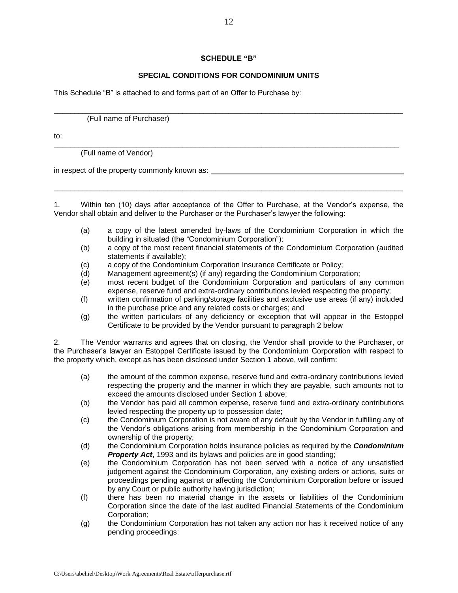### **SCHEDULE "B"**

# **SPECIAL CONDITIONS FOR CONDOMINIUM UNITS**

This Schedule "B" is attached to and forms part of an Offer to Purchase by:

\_\_\_\_\_\_\_\_\_\_\_\_\_\_\_\_\_\_\_\_\_\_\_\_\_\_\_\_\_\_\_\_\_\_\_\_\_\_\_\_\_\_\_\_\_\_\_\_\_\_\_\_\_\_\_\_\_\_\_\_\_\_\_\_\_\_\_\_\_\_\_\_\_\_\_\_\_\_\_\_\_\_\_\_ (Full name of Purchaser)

to:

\_\_\_\_\_\_\_\_\_\_\_\_\_\_\_\_\_\_\_\_\_\_\_\_\_\_\_\_\_\_\_\_\_\_\_\_\_\_\_\_\_\_\_\_\_\_\_\_\_\_\_\_\_\_\_\_\_\_\_\_\_\_\_\_\_\_\_\_\_\_\_\_\_\_\_\_\_\_\_\_\_\_\_ (Full name of Vendor)

in respect of the property commonly known as:

1. Within ten (10) days after acceptance of the Offer to Purchase, at the Vendor's expense, the Vendor shall obtain and deliver to the Purchaser or the Purchaser's lawyer the following:

\_\_\_\_\_\_\_\_\_\_\_\_\_\_\_\_\_\_\_\_\_\_\_\_\_\_\_\_\_\_\_\_\_\_\_\_\_\_\_\_\_\_\_\_\_\_\_\_\_\_\_\_\_\_\_\_\_\_\_\_\_\_\_\_\_\_\_\_\_\_\_\_\_\_\_\_\_\_\_\_\_\_\_\_

- (a) a copy of the latest amended by-laws of the Condominium Corporation in which the building in situated (the "Condominium Corporation");
- (b) a copy of the most recent financial statements of the Condominium Corporation (audited statements if available);
- (c) a copy of the Condominium Corporation Insurance Certificate or Policy;
- (d) Management agreement(s) (if any) regarding the Condominium Corporation;
- (e) most recent budget of the Condominium Corporation and particulars of any common expense, reserve fund and extra-ordinary contributions levied respecting the property;
- (f) written confirmation of parking/storage facilities and exclusive use areas (if any) included in the purchase price and any related costs or charges; and
- (g) the written particulars of any deficiency or exception that will appear in the Estoppel Certificate to be provided by the Vendor pursuant to paragraph 2 below

2. The Vendor warrants and agrees that on closing, the Vendor shall provide to the Purchaser, or the Purchaser's lawyer an Estoppel Certificate issued by the Condominium Corporation with respect to the property which, except as has been disclosed under Section 1 above, will confirm:

- (a) the amount of the common expense, reserve fund and extra-ordinary contributions levied respecting the property and the manner in which they are payable, such amounts not to exceed the amounts disclosed under Section 1 above;
- (b) the Vendor has paid all common expense, reserve fund and extra-ordinary contributions levied respecting the property up to possession date;
- (c) the Condominium Corporation is not aware of any default by the Vendor in fulfilling any of the Vendor's obligations arising from membership in the Condominium Corporation and ownership of the property;
- (d) the Condominium Corporation holds insurance policies as required by the *Condominium*  **Property Act**, 1993 and its bylaws and policies are in good standing:
- (e) the Condominium Corporation has not been served with a notice of any unsatisfied judgement against the Condominium Corporation, any existing orders or actions, suits or proceedings pending against or affecting the Condominium Corporation before or issued by any Court or public authority having jurisdiction;
- (f) there has been no material change in the assets or liabilities of the Condominium Corporation since the date of the last audited Financial Statements of the Condominium Corporation;
- (g) the Condominium Corporation has not taken any action nor has it received notice of any pending proceedings: